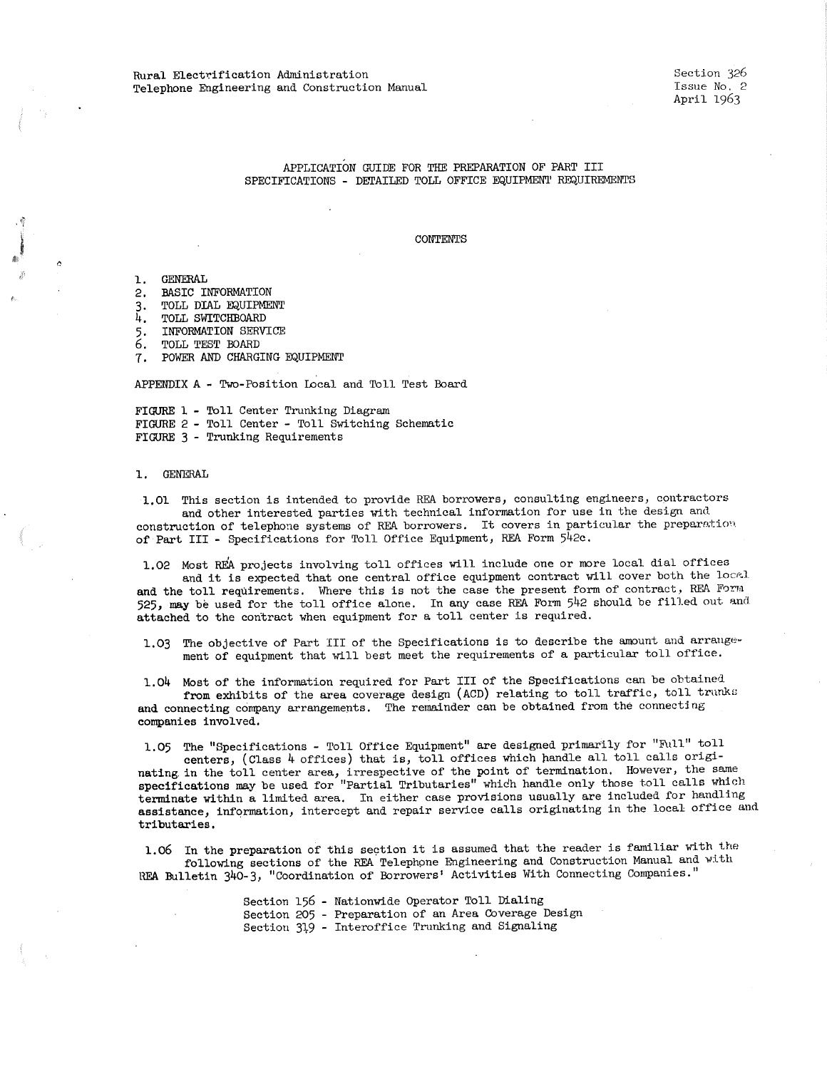# APPLICATION GUIDE FOR THE PREPARATION OF PART III SPECIFICATIONS - DETAILED TOLL OFFICE EQUIPMEN'l' REQUIREMENTS

## CONTENTS

1. GENERAL

- 2. BASIC INFORMATION
- 3. TOLL DIAL EQUIPMENT
- 4. TOLL SWITCHBOARD
- 5, INFORMATION SERVICE
- 6. TOLL TEST BOARD
- 7. POWER AND CHARGING EQUIPMENT

APPENDIX A - Two-Position Local and Toll Test Board

FIGURE 1 - Toll Center Trunking Diagram FIGURE 2 - Toll Center - Toll Switching Schematic FIGURE 3 - Trunking Requirements

### 1. GENERAL

1.01 This section is intended to provide REA borrowers, consulting engineers, contractors and other interested parties with technical information for use in the design and construction of telephone systems of REA borrowers. It covers in particular the preparation of Part III - Specifications for Toll Office Equipment, REA Form 542c.

1,02 Most REA projects involving toll offices will include one or more local dial offices and it is expected that one central office equipment contract will cover both the local and the toll requirements. Where this is not the case the present form of contract, REA Form 525, may be used for the toll office alone. In any case REA Form 542 should be filled out and attached to the contract when equipment for a toll center is required.

1.03 The objective of Part III of the Specifications is to describe the amount and arrangement of equipment that will best meet the requirements of a particular toll office.

1.04 Most of the information required for Part III of the Specifications can be obtained. from exhibits of the area coverage design (ACD) relating to toll traffic, toll trunks and connecting company arrangements. The remainder can be obtained from the connecting companies involved,

1.05 The "Specifications - Toll Office Equipment" are designed primarily for "Full" toll centers, (Class 4 offices) that is, toll offices which handle all toll calls originating. in the toll center area, irrespective of the point of termination, However, the same specifications may be used for "Partial Tributaries" whidh handle only those toll calls which terminate within a limited area. In either case provisions usually are included for handling assistance, information, intercept and repair service calls originating in the local office and **tributaries.** 

1.06 In the preparation of this section it is assumed that the reader is familiar with the following sections of the REA Telephone Engineering and Construction Manual and with REA Bulletin 340-3, "Coordination of Borrowers' Activities With Connecting Companies."

> Section 156 - Nationwide Operator Toll Dialing Section 205 - Preparation of an Area Coverage Design Section 319 - Interoffice Trunking and Signaling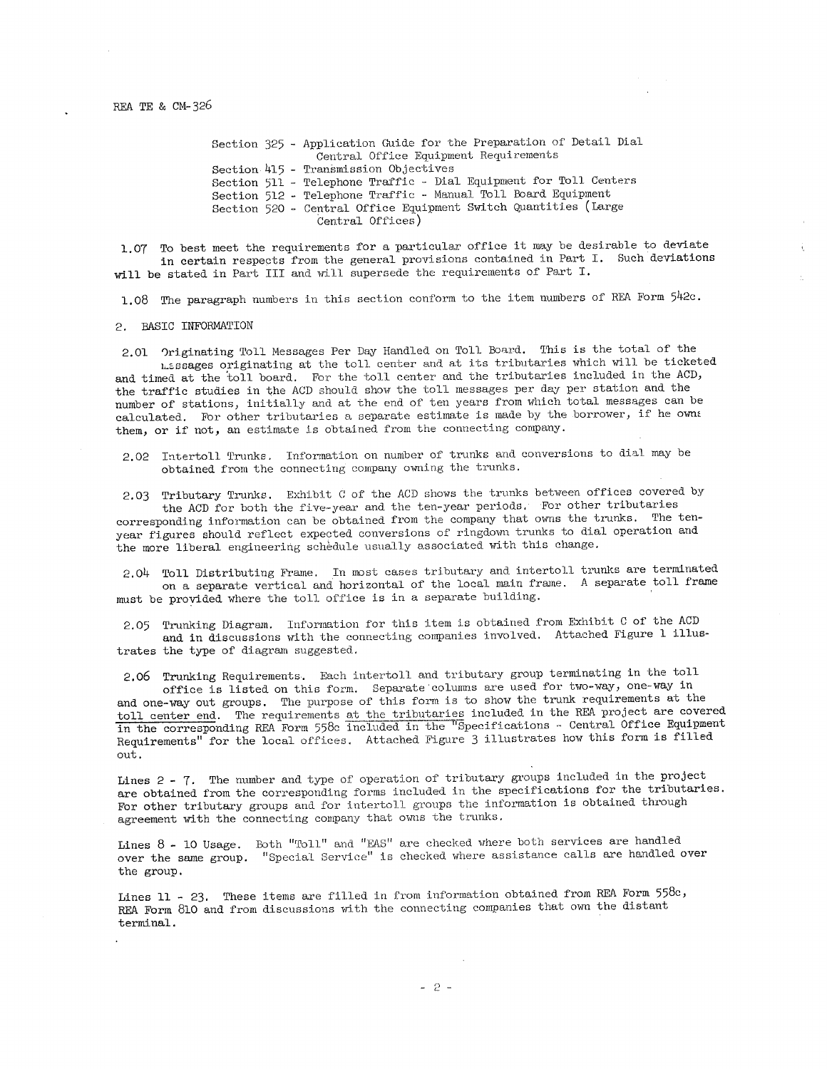Section 325 - Application Guide for the Preparation of Detail Dial Section 415 - Transmission Objective Section 511 - Telephone Traffic - Dial Equipment for Toll Centers Section 512 - Telephone Traffic - Manual Toll Board Equipment Section 520 - Central Office Equipment Switch Quantities ( Large Central Office Equipment Requirements Central Offices)

1.07 To best meet the requirements for a particular office it may be desirable to deviate in certain respects from the general provisions contained in Part I. Such deviations will be stated in Part III and will supersede the requirements of Part I.

1.08 The paragraph numbers in this section conform to the item numbers of REA Form 542c.

2. BASIC INFORMATION

2.01 Originating Toll Messages Per Day Handled on Toll Board. This is the total of the 1~c.ssages originating at the toll center and at its tributaries which will be ticketed and timed at the toll board. For the toll center and the tributaries included in the ACD, the traffic studies in the ACD should show the toll messages per day per station and the number of stations, initially and at the end of ten years from which total messages can be calculated. For other tributaries a separate estimate is made by the borrower, if he owns them, or if not, an estimate is obtained from the connecting company.

2.02 Intertoll Trunks. Information on number of trunks and conversions to dial may be obtained from the connecting company owning the trunks.

2.03 Tributary Trunks. Exhibit C of the ACD shows the trunks between offices covered by the ACD for both the five-year and the ten-year periods. For other tributaries

corresponding information can be obtained from the company that owns the trunks. The tenyear figures should reflect expected conversions of ringdown trunks to dial operation and the more liberal engineering schedule usually associated with this change.

2.04 Toll Distributing Frame. In most cases tributary and intertoll trunks are terminated on a separate vertical and horizontal of the local main frame. A separate toll frame must be provided where the toll office is in a separate building.

2.05 Trunking Diagram. Information for this item is obtained from Exhibit C of the ACD and in discussions with the connecting companies involved. Attached Figure l illustrates the type of diagram suggested.

2.06 Trunking Requirements. Each intertoll and tributary group terminating in the toll

office is listed on this form. Separate columns are used for two-way, one-way in and one-way out groups. The purpose of this form is to show the trunk requirements at the toll center end. The requirements at the tributaries included in the REA project are covered in the corresponding REA Form 558c included in the "Specifications - Central Office Equipment Requirements" for the local offices. Attached Figure 3 illustrates how this form is filled out,

Lines  $2$  -  $7$ . The number and type of operation of tributary groups included in the project are obtained from the corresponding forms included in the specifications for the tributaries. For other tributary groups and for intertoll groups the information is obtained through agreement with the connecting company that owns the trunks.

Lines 8 - 10 Usage. Both "Toll" and "EAS" are checked where both services are handled over the same group. "Special Service" is checked where assistance calls are handled over the group,

Lines 11 - 23. These items are filled in from information obtained from REA Form 558c, REA Form 810 and from discussions with the connecting companies that own the distant terminal.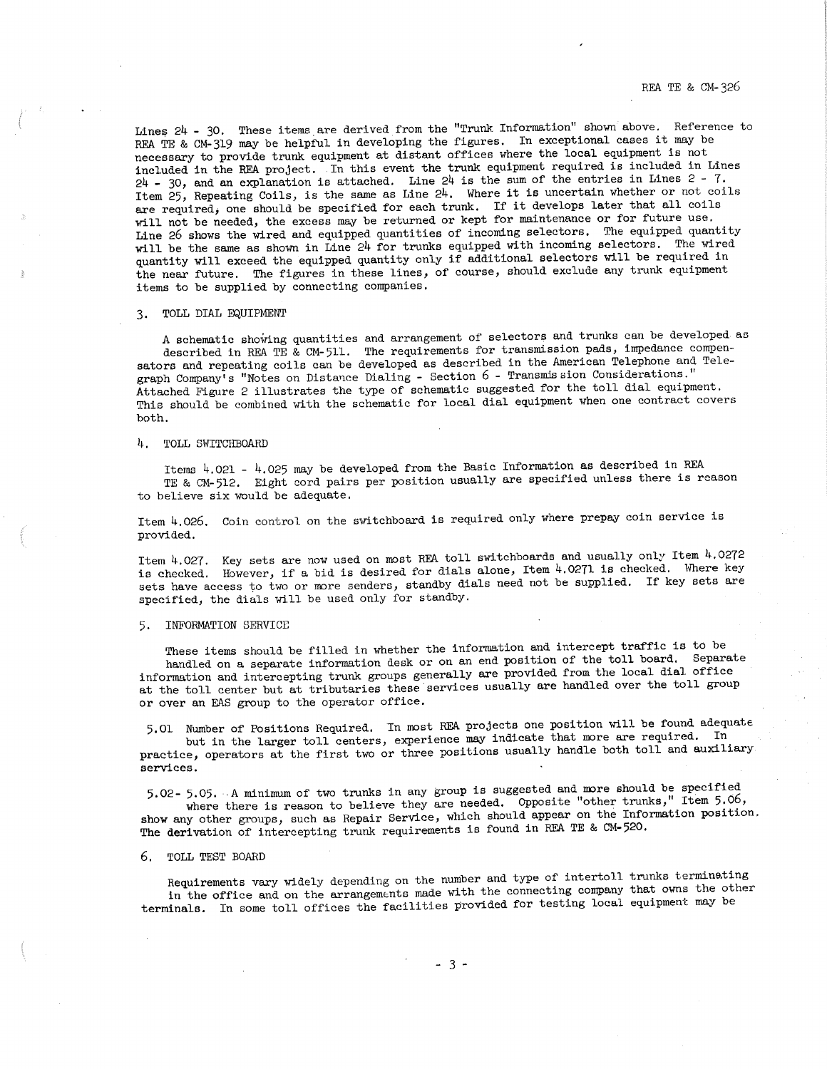REA TE & CM-326

Lines 24 - 30. These items are derived from the "Trunk Information" shown above. Reference to REA TE & CM-319 may be helpful in developing the figures. In exceptional cases it may be necessary to provide trunk equipment at distant offices where the local equipment is not included in the REA project. In this event the trunk equipment required is included in Lines  $24 - 30$ , and an explanation is attached. Line  $24$  is the sum of the entries in Lines  $2 - 7$ .<br>Item 25, Repeating Coils, is the same as Line  $24$ . Where it is uncertain whether or not coils are required, one should be specified for each trunk. If it develops later that all coils will not be needed, the excess may be returned or kept for maintenance or for future use. Line 26 shows the wired and equipped quantities of incoming selectors. The equipped quantity will be the same as shown in Line 24 for trunks equipped with incoming selectors. The wired quantity will exceed the equipped quantity only if additional selectors will be required in the near future. The figures in these lines, of course, should exclude any trunk equipment items to be supplied by connecting companies,

# 3. TOLL DIAL EQUIPMENT

A schematic showing quantities and arrangement of selectors and trunks can be developed as described in REA TE & CM-511. The requirements for transmission pads, impedance compensators and repeating coils can be developed as described in the American Telephone and Telegraph Company's "Notes on Distance Dialing - Section 6 - Transmission Considerations." Attached Figure 2 illustrates the type of schematic suggested for the toll dial equipment.<br>This should be combined with the schematic for local dial equipment when one contract covers both.

#### 4. TOLL SWITCHBOARD

Items 4.021 - 4.025 may be developed from the Basic Information as described in REA TE & CM-512. Eight cord pairs per position usually are specified unless there is reason to believe six would be adequate.

Item  $4.026$ . Coin control on the switchboard is required only where prepay coin service is provided.

Item 4.027. Key sets are now used on most REA toll switchboards and usually only Item 4.0272 is checked. However, if a bid is desired for dials alone, Item 4.0271 is checked. Where key sets have access to two or more senders, standby dials need not be supplied. If key sets are specified, the dials will be used only for standby.

#### 5, INFORMATION SERVICE

These items should be filled in whether the information and intercept traffic is to be handled on a separate information desk or on an end position of the toll board. Separate information and intercepting trunk groups generally are provided from the local dial office<br>at the toll center but at tributaries these services usually are handled over the toll group or over an EAS group to the operator office.

5,01 Number of Positions Required, In most REA projects one position will be found adequate but in the larger toll centers, experience may indicate that more are required. In practice, operators at the first two or three positions usually handle both toll and auxiliary services.

5,02- 5.05. -A minimum of two trunks in any group is suggested and more should be specified where there is reason to believe they are needed. Opposite "other trunks," Item 5.06, show any other groups, such as Repair Service, which should appear on the Information position. The derivation of intercepting trunk requirements is found in REA TE & CM-520.

#### 6. TOLL TEST BOARD

Requirements vary widely depending on the number and type of intertoll trunks terminating in the office and on the arrangements made with the connecting company that owns the other terminals. In some toll offices the facilities provided for testing local equipment may be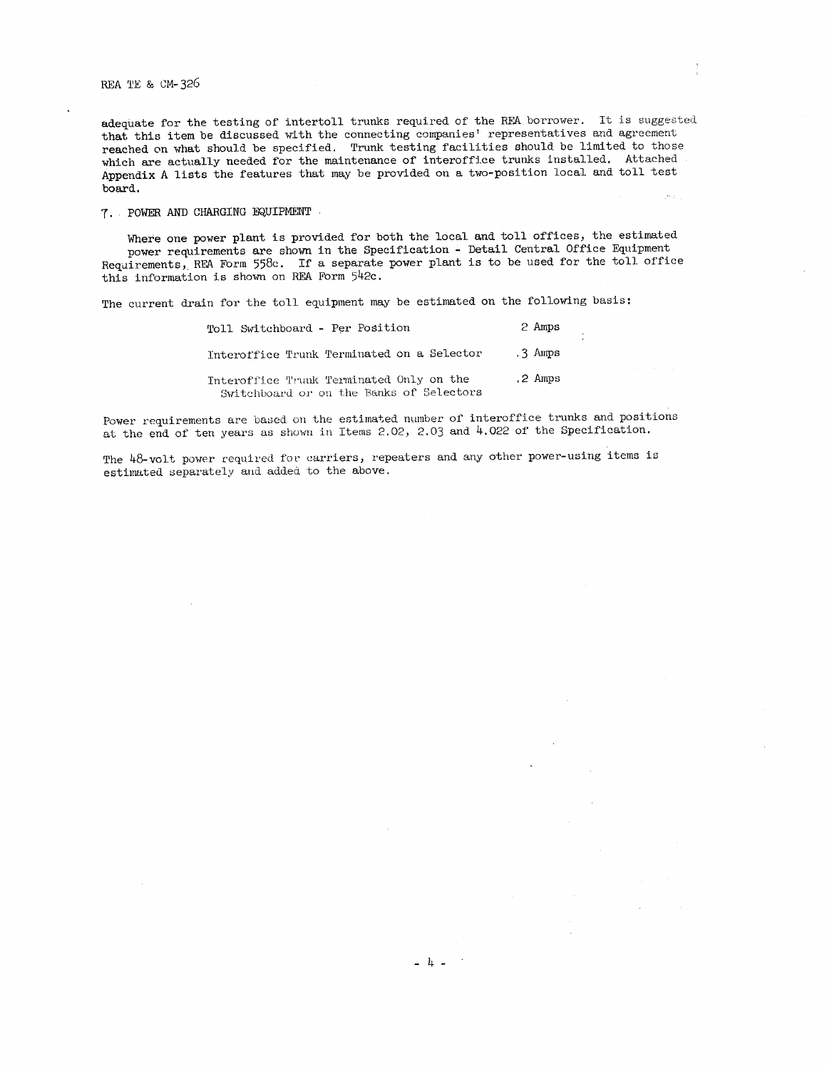REA TE & CM-326

adequate for the testing of intertoll trunks required of the REA borrower. It is suggested that this item be discussed with the connecting companies' representatives and agreement reached on what should be specified. Trunk testing facilities should be limited to those which are actually needed for the maintenance of interoffice trunks installed. Attached Appendix A lists the features that may be provided on a two-position local and toll test board.

7. POWER AND CHARGING EQUIPMENT

Where one power plant is provided for both the local and toll offices, the estimated power requirements are shown in the Specification - Detail Central Office Equipment Requirements, REA Form 558c. If a separate power plant is to be used for the toll offic this information is shown on REA Form 542c.

The current drain for the toll equipment may be estimated on the following basis:

| Toll Switchboard - Per Position                                                      | 2 Amps    |
|--------------------------------------------------------------------------------------|-----------|
| Interoffice Trunk Terminated on a Selector                                           | $.3$ Amps |
| Interoffice Trunk Terminated Only on the<br>Switchboard or on the Banks of Selectors | .2 Amps   |

 $\pm$ 

Power requirements are based on the estimated number of interoffice trunks and positions at the end of ten years as shown in Items 2.02, 2.03 and 4.022 of the Specification.

The 48-volt power required for carriers, repeaters and any other power-using items is estimated separately aud added to the above.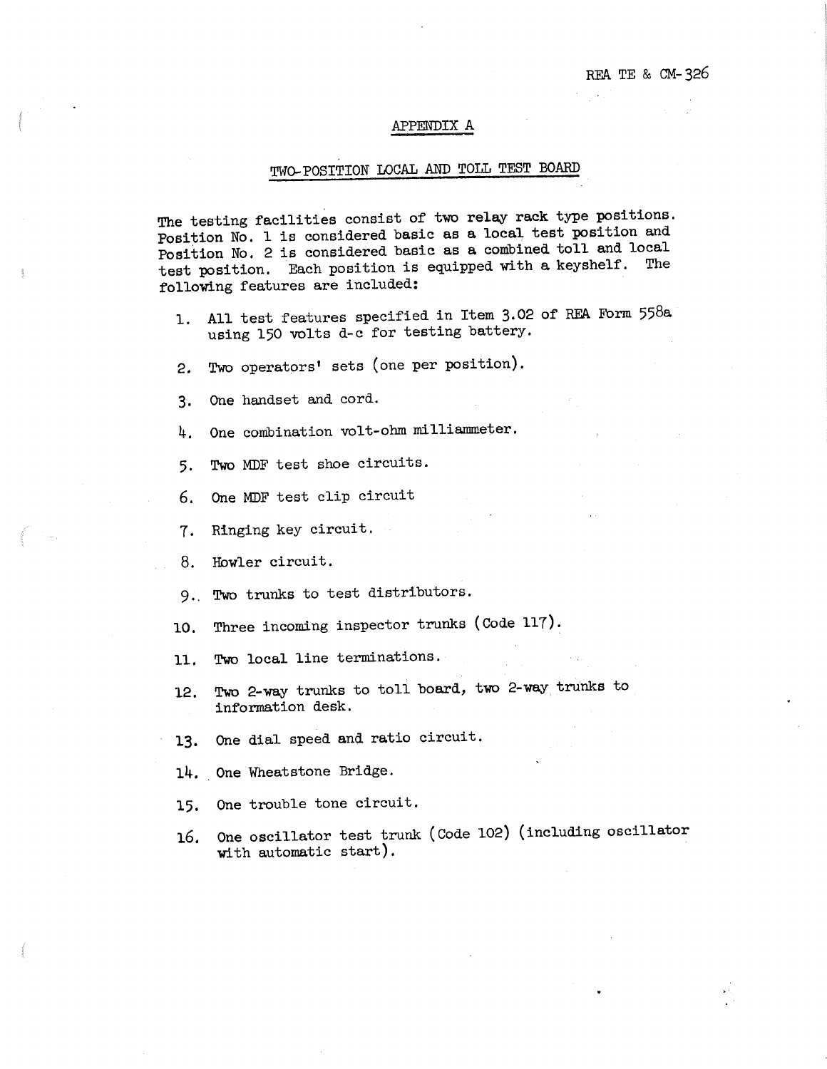# APPENDIX A

# TWO-POSITION LOCAL AND TOLL TEST BOARD

The testing facilities consist of two relay rack type positions. Position No. l is considered basic as a local test position and Position No. 2 is considered basic as a combined toll and local test position. Each position is equipped with a keyshelf. The following features are included:

- 1. All test features specified in Item 3,02 of RFA Form 558a using 150 volts d-c for testing battery.
- 2. Two operators' sets (one per position).
- 3, One handset and cord.
- 4. One combination volt-ohm milliammeter.
- 5, Two MDF test shoe circuits.
- 6. One MDF test clip circuit
- 7, Ringing key circuit.
- 8. Howler circuit.
- 9,. Two trunks to test distributors.
- 10. Three incoming inspector trunks (Code 117).
- 11, Two local line terminations.
- 12. Two 2-way trunks to toll board, two 2-way trunks to information desk.
- **13.** One dial speed and ratio circuit.
- **14 ..** One Wheatstone Bridge.
- 15, One trouble tone circuit.
- 16, One oscillator test trunk (Code 102) (including oscillator with automatic start).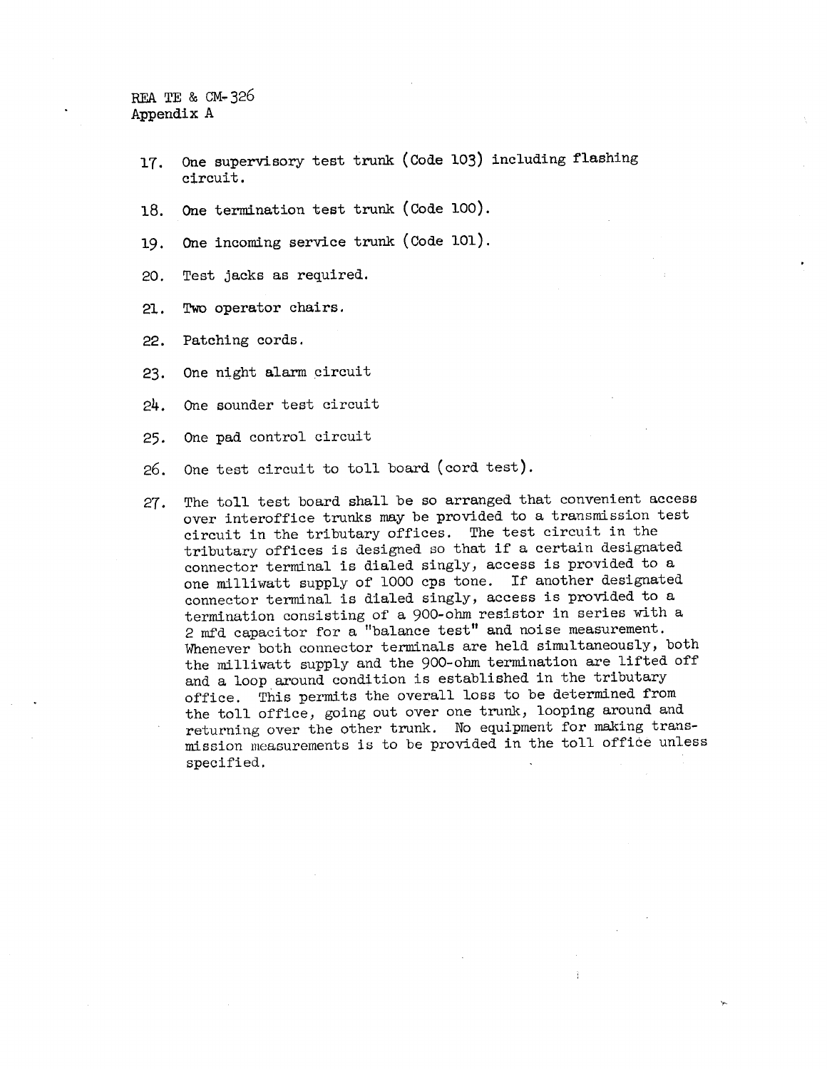REA TE & CM-326 Appendix A

- 17. One supervisory test trunk (Code 103) including flashing circuit.
- 18. One termination test trunk (Code 100).
- 19. One incoming service trunk ( Code 101).
- 20. Test jacks as required.
- 21. Two operator chairs.
- 22. Patching cords.
- 23, One night alarm circuit
- 24. One sounder test circuit
- 25, One pad control circuit
- 26. One test circuit to toll board (cord test).
- 27, The toll test board shall be so arranged that convenient access over interoffice trunks may be provided to a transmission test circuit in the tributary offices. The test circuit in the tributary offices is designed so that if a certain designated connector terminal is dialed singly, access is provided to a one milliwatt supply of 1000 cps tone. If another designated connector terminal is dialed singly, access is provided to a termination consisting of a 900-ohm resistor in series with a 2 mfd capacitor for a "balance test" and noise measurement. Whenever both connector terminals are held simultaneously, both the milliwatt supply and the 900-ohm termination are lifted off and a loop around condition is established in the tributary office. This permits the overall loss to be determined from the toll office, going out over one trunk, looping around and returning over the other trunk. No equipment for making transmission measurements is to be provided in the toll office unless specified.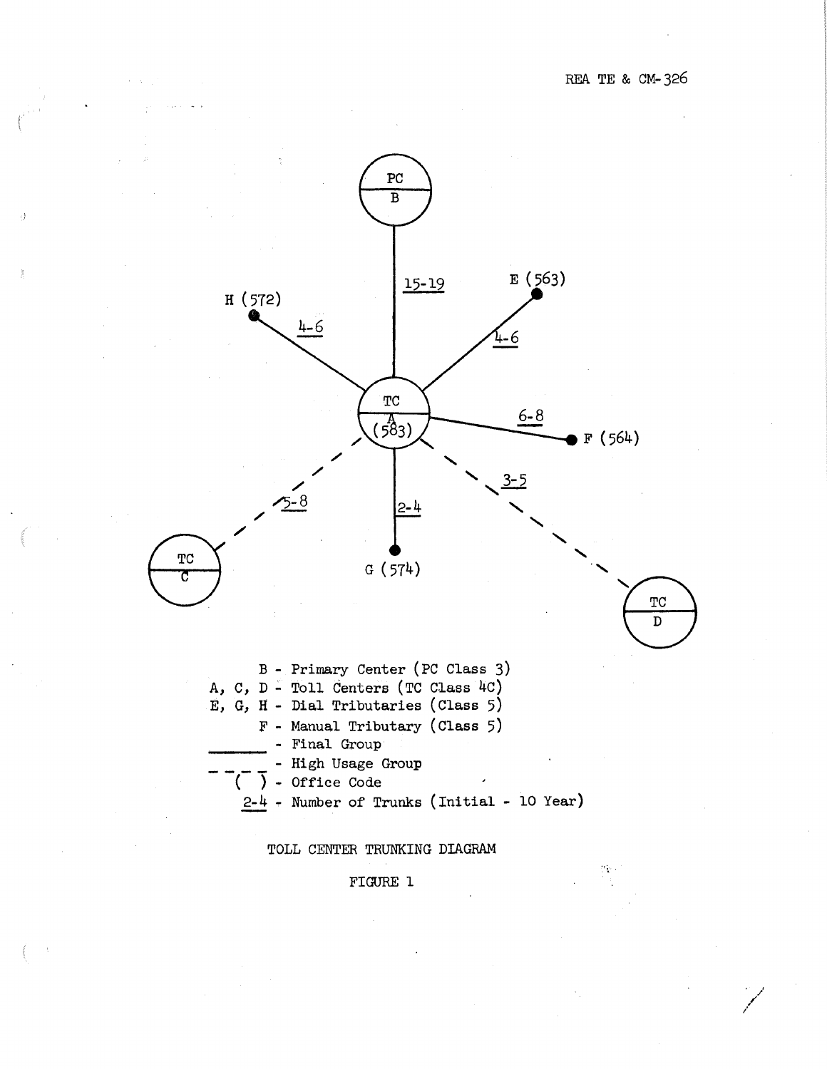

TOLL CENTER TRUNKING DIAGRAM

# FIGURE 1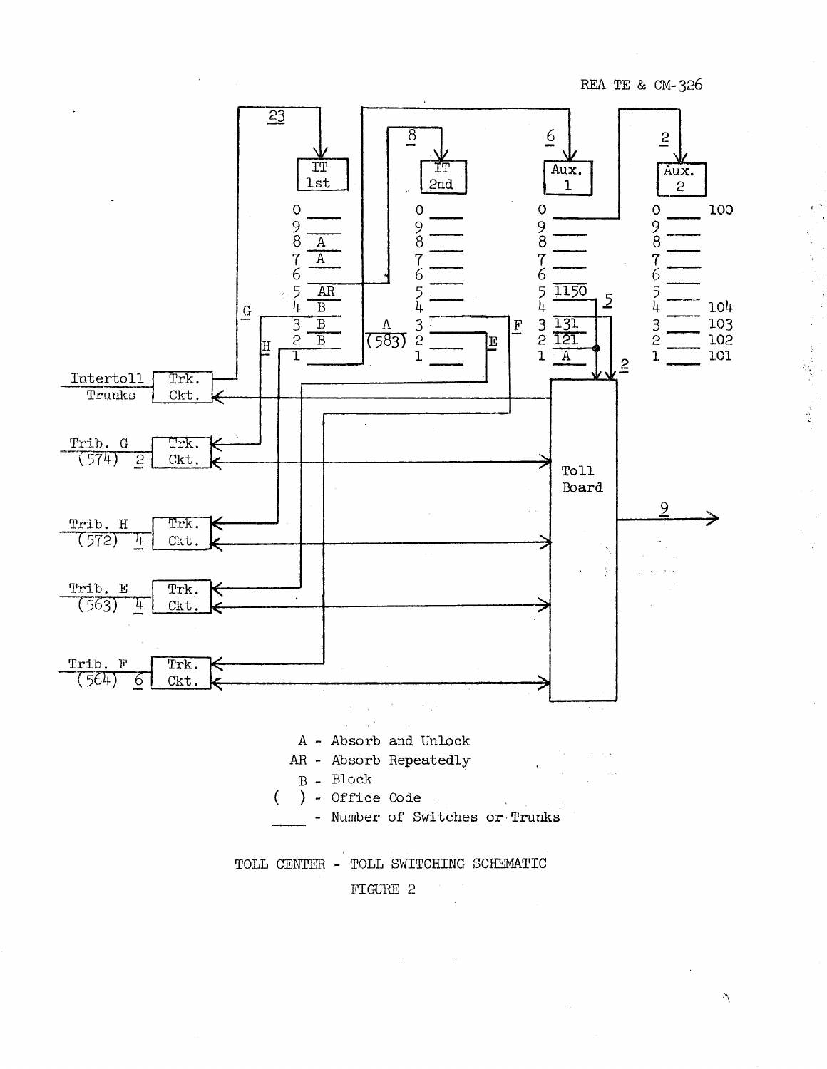

 $\Delta$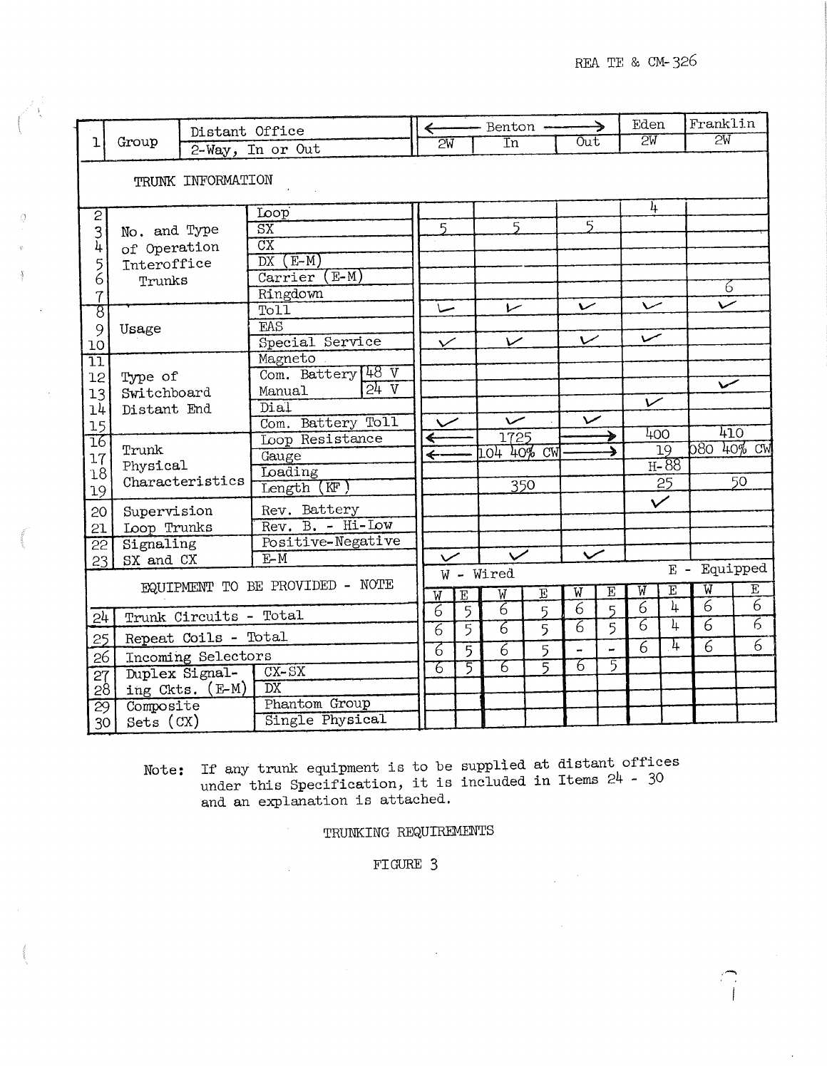.......

|                                 | Group                                                                     | Distant Office  |                                      |                          |                                     | - Benton -               |                         |                          | →                   | Eden                  |                         | Franklin                         |                     |  |
|---------------------------------|---------------------------------------------------------------------------|-----------------|--------------------------------------|--------------------------|-------------------------------------|--------------------------|-------------------------|--------------------------|---------------------|-----------------------|-------------------------|----------------------------------|---------------------|--|
| ı                               |                                                                           |                 | 2-Way, In or Out                     | $\overline{\mathsf{2W}}$ |                                     | $\overline{\text{In}}$   |                         | Out                      |                     | $\overline{2W}$       |                         | $\overline{\mathsf{2W}}$         |                     |  |
|                                 | TRUNK INFORMATION                                                         |                 |                                      |                          |                                     |                          |                         |                          |                     |                       |                         |                                  |                     |  |
|                                 | Loop                                                                      |                 |                                      |                          |                                     |                          |                         |                          |                     | 4                     |                         |                                  |                     |  |
| $\overline{c}$                  | 3<br>No. and Type<br>4<br>of Operation<br>5<br>Interoffice<br>6<br>Trunks |                 | $\overline{\text{SX}}$               | 5                        |                                     | $\overline{5}$           |                         | 5                        |                     |                       |                         |                                  |                     |  |
|                                 |                                                                           |                 | $\overline{\text{cx}}$               |                          |                                     |                          |                         |                          |                     |                       |                         |                                  |                     |  |
|                                 |                                                                           |                 | $(E-M)$<br>DX                        |                          |                                     |                          |                         |                          |                     |                       |                         |                                  |                     |  |
|                                 |                                                                           |                 | $(E-M)$<br>Carrier                   |                          |                                     |                          |                         |                          |                     |                       |                         |                                  |                     |  |
| $\overline{1}$                  |                                                                           |                 | Ringdown                             |                          |                                     |                          |                         |                          |                     |                       |                         | 6                                |                     |  |
| ह                               |                                                                           |                 | Toll                                 | حساً                     |                                     | レ                        |                         | $\overline{\phantom{0}}$ |                     | 〜                     |                         |                                  |                     |  |
| 9                               | Usage                                                                     |                 | EAS                                  |                          |                                     |                          |                         |                          |                     |                       |                         |                                  |                     |  |
| 10                              |                                                                           |                 | Special Service                      | $\checkmark$             |                                     | $\overline{\phantom{0}}$ |                         |                          | سمى<br>$\checkmark$ |                       |                         |                                  |                     |  |
| īī                              |                                                                           |                 | Magneto                              |                          |                                     |                          |                         |                          |                     |                       |                         |                                  |                     |  |
| 12                              | Type of                                                                   |                 | Com. Battery 48 V<br>24V             |                          |                                     |                          |                         |                          |                     |                       |                         |                                  |                     |  |
| 13                              | Switchboard                                                               |                 | Manual                               |                          |                                     |                          |                         |                          |                     | $\checkmark$          |                         |                                  |                     |  |
| 14                              | Distant End                                                               |                 | Dial                                 | $\checkmark$             |                                     | $\checkmark$             |                         | $\overline{\phantom{0}}$ |                     |                       |                         |                                  |                     |  |
| 15                              |                                                                           |                 | Com. Battery Toll<br>Loop Resistance | $\leftarrow$             |                                     | 1725                     |                         |                          |                     | 400                   |                         |                                  | 410                 |  |
| 16                              | Trunk                                                                     |                 | Gauge                                | $\leftarrow$             |                                     | LO4 40% CW               |                         |                          |                     |                       | $\overline{19}$         | 080 40% CW                       |                     |  |
| 17<br>18                        | Physical                                                                  |                 | Loading                              |                          |                                     |                          |                         |                          |                     |                       | $H-88$                  |                                  |                     |  |
| 19                              | Characteristics                                                           |                 | Length (KF)                          |                          |                                     |                          | 350                     |                          |                     |                       | 25                      |                                  | $\overline{50}$     |  |
| 20 <sup>1</sup>                 | Supervision                                                               |                 | Rev. Battery                         |                          |                                     |                          |                         |                          | $\checkmark$        |                       |                         |                                  |                     |  |
| 21                              | Loop Trunks                                                               |                 | Rev. B. - Hi-Low                     |                          |                                     |                          |                         |                          |                     |                       |                         |                                  |                     |  |
| $\overline{22}$                 | Signaling                                                                 |                 | Positive-Negative                    |                          |                                     |                          |                         |                          |                     |                       |                         |                                  |                     |  |
| 23                              | SX and CX                                                                 |                 | $E-M$                                |                          | $\overline{\smile}$<br>$\checkmark$ |                          |                         |                          | $\checkmark$        |                       |                         |                                  |                     |  |
|                                 |                                                                           |                 |                                      |                          | Equipped<br>$E -$<br>W - Wired      |                          |                         |                          |                     |                       |                         |                                  |                     |  |
| EQUIPMENT TO BE PROVIDED - NOTE |                                                                           |                 | $\overline{\mathtt{w}}$              | $\overline{\mathbb{E}}$  | $\overline{W}$                      | $\overline{\mathrm{E}}$  | $\overline{\mathtt{w}}$ | $\overline{\mathrm{E}}$  | W                   | $\overline{\text{E}}$ | $\overline{\mathtt{W}}$ | $\overline{E}$                   |                     |  |
| 24                              | Trunk Circuits - Total                                                    |                 |                                      | $6\phantom{.}6$          | $\overline{5}$                      | 7                        | 5                       | $\overline{6}$           | 5                   | $\overline{6}$        | $\overline{4}$          | $\overline{6}$                   | 6<br>$\overline{6}$ |  |
| 25                              | Repeat Coils - Total                                                      |                 |                                      | 7                        | 5                                   | 7                        | 5                       | 7                        | 5                   | 7                     | 4<br>1                  | $\overline{6}$<br>$\overline{6}$ | $\overline{6}$      |  |
| 26                              | Incoming Selectors                                                        |                 |                                      | 6                        | 5                                   | $\overline{6}$           | 5                       | $\overline{\phantom{a}}$ |                     | $\overline{6}$        |                         |                                  |                     |  |
| 27                              |                                                                           | Duplex Signal-  | $CX-SX$                              | 76                       | 5                                   | 6                        | 5                       | 76                       | 5                   |                       |                         |                                  |                     |  |
| 28                              |                                                                           | ing Ckts. (E-M) | $\overline{\text{DX}}$               |                          |                                     |                          |                         |                          |                     |                       |                         |                                  |                     |  |
| 29                              | Composite                                                                 |                 | Phantom Group                        |                          |                                     |                          |                         |                          |                     |                       |                         |                                  |                     |  |
| 30                              | $Sets$ $(CX)$                                                             |                 | Single Physical                      |                          |                                     |                          |                         |                          |                     |                       |                         |                                  |                     |  |

 $\mathcal{Q}$ 

Note: If any trunk equipment is to be supplied at distant office under this Specification, it is included in Items 24 - 30 and an explanation is attached.

TRUNKING REQUIREMENTS

FIGURE 3